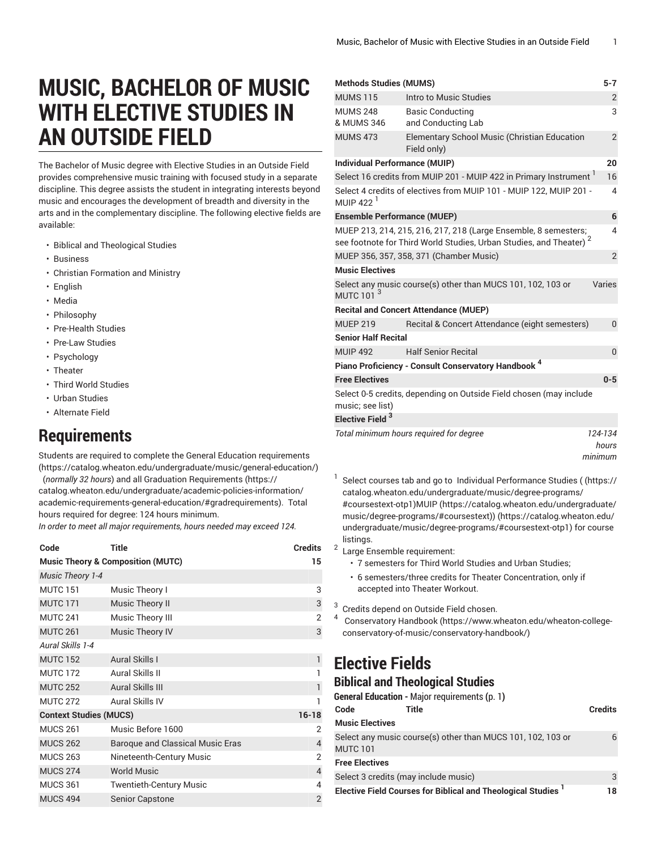# **MUSIC, BACHELOR OF MUSIC WITH ELECTIVE STUDIES IN AN OUTSIDE FIELD**

The Bachelor of Music degree with Elective Studies in an Outside Field provides comprehensive music training with focused study in a separate discipline. This degree assists the student in integrating interests beyond music and encourages the development of breadth and diversity in the arts and in the complementary discipline. The following elective fields are available:

- Biblical and Theological Studies
- Business
- Christian Formation and Ministry
- English
- Media
- Philosophy
- Pre-Health Studies
- Pre-Law Studies
- Psychology
- Theater
- Third World Studies
- Urban Studies
- Alternate Field

# <span id="page-0-0"></span>**Requirements**

Students are required to complete the General Education [requirements](https://catalog.wheaton.edu/undergraduate/music/general-education/) (<https://catalog.wheaton.edu/undergraduate/music/general-education/>) (*normally 32 hours*) and all Graduation [Requirements](https://catalog.wheaton.edu/undergraduate/academic-policies-information/academic-requirements-general-education/#gradrequirements) [\(https://](https://catalog.wheaton.edu/undergraduate/academic-policies-information/academic-requirements-general-education/#gradrequirements) [catalog.wheaton.edu/undergraduate/academic-policies-information/](https://catalog.wheaton.edu/undergraduate/academic-policies-information/academic-requirements-general-education/#gradrequirements) [academic-requirements-general-education/#gradrequirements\)](https://catalog.wheaton.edu/undergraduate/academic-policies-information/academic-requirements-general-education/#gradrequirements). Total hours required for degree: 124 hours minimum.

*In order to meet all major requirements, hours needed may exceed 124.*

| Code                          | Title                                        | <b>Credits</b> |
|-------------------------------|----------------------------------------------|----------------|
|                               | <b>Music Theory &amp; Composition (MUTC)</b> | 15             |
| <b>Music Theory 1-4</b>       |                                              |                |
| <b>MUTC 151</b>               | Music Theory I                               | 3              |
| <b>MUTC 171</b>               | <b>Music Theory II</b>                       | 3              |
| <b>MUTC 241</b>               | Music Theory III                             | $\overline{2}$ |
| <b>MUTC 261</b>               | <b>Music Theory IV</b>                       | 3              |
| Aural Skills 1-4              |                                              |                |
| <b>MUTC 152</b>               | <b>Aural Skills I</b>                        | 1              |
| <b>MUTC 172</b>               | Aural Skills II                              | 1              |
| <b>MUTC 252</b>               | <b>Aural Skills III</b>                      | 1              |
| <b>MUTC 272</b>               | Aural Skills IV                              | 1              |
| <b>Context Studies (MUCS)</b> |                                              | $16 - 18$      |
| <b>MUCS 261</b>               | Music Before 1600                            | 2              |
| <b>MUCS 262</b>               | Baroque and Classical Music Eras             | 4              |
| <b>MUCS 263</b>               | Nineteenth-Century Music                     | 2              |
| <b>MUCS 274</b>               | <b>World Music</b>                           | $\overline{4}$ |
| <b>MUCS 361</b>               | <b>Twentieth-Century Music</b>               | 4              |
| <b>MUCS 494</b>               | <b>Senior Capstone</b>                       | $\overline{2}$ |

| <b>Methods Studies (MUMS)</b>        |                                                                                | $5 - 7$                     |
|--------------------------------------|--------------------------------------------------------------------------------|-----------------------------|
| <b>MUMS 115</b>                      | Intro to Music Studies                                                         | $\overline{2}$              |
| <b>MUMS 248</b><br>& MUMS 346        | <b>Basic Conducting</b><br>and Conducting Lab                                  | 3                           |
| <b>MUMS 473</b>                      | <b>Elementary School Music (Christian Education</b><br>Field only)             | $\overline{2}$              |
| <b>Individual Performance (MUIP)</b> |                                                                                | 20                          |
|                                      | Select 16 credits from MUIP 201 - MUIP 422 in Primary Instrument 1             | 16                          |
| MUIP 422 $1$                         | Select 4 credits of electives from MUIP 101 - MUIP 122, MUIP 201 -             | 4                           |
| <b>Ensemble Performance (MUEP)</b>   |                                                                                | 6                           |
|                                      | MUEP 213, 214, 215, 216, 217, 218 (Large Ensemble, 8 semesters;                | 4                           |
|                                      | see footnote for Third World Studies, Urban Studies, and Theater) <sup>2</sup> |                             |
|                                      | MUEP 356, 357, 358, 371 (Chamber Music)                                        | $\overline{2}$              |
| <b>Music Electives</b>               |                                                                                |                             |
| MUTC 101 <sup>3</sup>                | Select any music course(s) other than MUCS 101, 102, 103 or                    | Varies                      |
|                                      | <b>Recital and Concert Attendance (MUEP)</b>                                   |                             |
| <b>MUEP 219</b>                      | Recital & Concert Attendance (eight semesters)                                 | $\mathbf{0}$                |
| <b>Senior Half Recital</b>           |                                                                                |                             |
| <b>MUIP 492</b>                      | <b>Half Senior Recital</b>                                                     | $\overline{0}$              |
|                                      | Piano Proficiency - Consult Conservatory Handbook <sup>4</sup>                 |                             |
| <b>Free Electives</b>                |                                                                                | $0 - 5$                     |
| music; see list)                     | Select 0-5 credits, depending on Outside Field chosen (may include             |                             |
| Elective Field <sup>3</sup>          |                                                                                |                             |
|                                      | Total minimum hours required for degree                                        | 124-134<br>hours<br>mınımım |

1 Select courses tab and go to Individual Performance Studies [\(](https://catalog.wheaton.edu/undergraduate/music/degree-programs/#coursestext-otp1) ([https://](https://catalog.wheaton.edu/undergraduate/music/degree-programs/#coursestext-otp1) [catalog.wheaton.edu/undergraduate/music/degree-programs/](https://catalog.wheaton.edu/undergraduate/music/degree-programs/#coursestext-otp1) [#coursestext-otp1](https://catalog.wheaton.edu/undergraduate/music/degree-programs/#coursestext-otp1))[MUIP \(https://catalog.wheaton.edu/undergraduate/](https://catalog.wheaton.edu/undergraduate/music/degree-programs/#coursestext) [music/degree-programs/#coursestext\)](https://catalog.wheaton.edu/undergraduate/music/degree-programs/#coursestext)[\)](https://catalog.wheaton.edu/undergraduate/music/degree-programs/#coursestext-otp1) ([https://catalog.wheaton.edu/](https://catalog.wheaton.edu/undergraduate/music/degree-programs/#coursestext-otp1) [undergraduate/music/degree-programs/#coursestext-otp1](https://catalog.wheaton.edu/undergraduate/music/degree-programs/#coursestext-otp1)) for course listings.

- <sup>2</sup> Large Ensemble requirement:
	- 7 semesters for Third World Studies and Urban Studies;
	- 6 semesters/three credits for Theater Concentration, only if accepted into Theater Workout.
- 3 Credits depend on Outside Field chosen.
- 4 [Conservatory](https://www.wheaton.edu/wheaton-college-conservatory-of-music/conservatory-handbook/) Handbook ([https://www.wheaton.edu/wheaton-college](https://www.wheaton.edu/wheaton-college-conservatory-of-music/conservatory-handbook/)[conservatory-of-music/conservatory-handbook/\)](https://www.wheaton.edu/wheaton-college-conservatory-of-music/conservatory-handbook/)

# **Elective Fields**

## **Biblical and Theological Studies**

|                        | General Education - Major requirements (p. 1)                      |                |
|------------------------|--------------------------------------------------------------------|----------------|
| Code                   | Title                                                              | <b>Credits</b> |
| <b>Music Electives</b> |                                                                    |                |
| <b>MUTC 101</b>        | Select any music course(s) other than MUCS 101, 102, 103 or        | 6              |
| <b>Free Electives</b>  |                                                                    |                |
|                        | Select 3 credits (may include music)                               | 3              |
|                        | <b>Elective Field Courses for Biblical and Theological Studies</b> | 18             |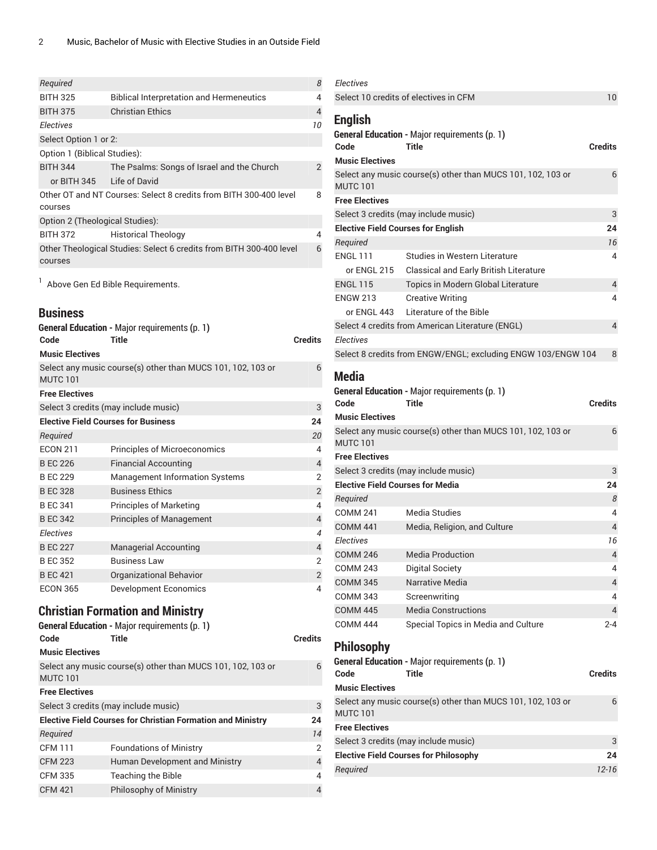| Required                        |                                                                     | 8  |
|---------------------------------|---------------------------------------------------------------------|----|
| <b>BITH 325</b>                 | <b>Biblical Interpretation and Hermeneutics</b>                     | 4  |
| <b>BITH 375</b>                 | <b>Christian Ethics</b>                                             | 4  |
| <b>Electives</b>                |                                                                     | 10 |
| Select Option 1 or 2:           |                                                                     |    |
| Option 1 (Biblical Studies):    |                                                                     |    |
| <b>BITH 344</b>                 | The Psalms: Songs of Israel and the Church                          | 2  |
| or BITH 345                     | Life of David                                                       |    |
| courses                         | Other OT and NT Courses: Select 8 credits from BITH 300-400 level   | 8  |
| Option 2 (Theological Studies): |                                                                     |    |
| <b>BITH 372</b>                 | <b>Historical Theology</b>                                          | 4  |
| courses                         | Other Theological Studies: Select 6 credits from BITH 300-400 level | 6  |

<sup>1</sup> Above Gen Ed Bible Requirements.

# **Business**

| Code                   | <b>General Education - Major requirements (p. 1)</b><br>Title | <b>Credits</b>              |
|------------------------|---------------------------------------------------------------|-----------------------------|
| <b>Music Electives</b> |                                                               |                             |
| <b>MUTC 101</b>        | Select any music course(s) other than MUCS 101, 102, 103 or   | 6                           |
| <b>Free Electives</b>  |                                                               |                             |
|                        | Select 3 credits (may include music)                          | 3                           |
|                        | <b>Elective Field Courses for Business</b>                    | 24                          |
| Required               |                                                               | 20                          |
| <b>ECON 211</b>        | <b>Principles of Microeconomics</b>                           | 4                           |
| <b>B EC 226</b>        | <b>Financial Accounting</b>                                   | 4                           |
| <b>B EC 229</b>        | <b>Management Information Systems</b>                         | 2                           |
| <b>B EC 328</b>        | <b>Business Ethics</b>                                        | $\overline{2}$              |
| <b>BEC 341</b>         | <b>Principles of Marketing</b>                                | 4                           |
| <b>B EC 342</b>        | <b>Principles of Management</b>                               | 4                           |
| <b>Electives</b>       |                                                               | $\boldsymbol{\vartriangle}$ |
| <b>B EC 227</b>        | <b>Managerial Accounting</b>                                  | 4                           |
| <b>B EC 352</b>        | <b>Business Law</b>                                           | 2                           |
| <b>B EC 421</b>        | <b>Organizational Behavior</b>                                | $\overline{2}$              |
| <b>ECON 365</b>        | Development Economics                                         | 4                           |

# **Christian Formation and Ministry**

|                        | <b>General Education - Major requirements (p. 1)</b>               |                |
|------------------------|--------------------------------------------------------------------|----------------|
| Code                   | <b>Title</b>                                                       | <b>Credits</b> |
| <b>Music Electives</b> |                                                                    |                |
| <b>MUTC 101</b>        | Select any music course(s) other than MUCS 101, 102, 103 or        | 6              |
| <b>Free Electives</b>  |                                                                    |                |
|                        | Select 3 credits (may include music)                               | 3              |
|                        | <b>Elective Field Courses for Christian Formation and Ministry</b> | 24             |
| Required               |                                                                    | 14             |
| <b>CFM 111</b>         | <b>Foundations of Ministry</b>                                     | $\overline{2}$ |
| <b>CFM 223</b>         | Human Development and Ministry                                     | $\overline{4}$ |
| <b>CFM 335</b>         | <b>Teaching the Bible</b>                                          | 4              |
| <b>CFM 421</b>         | <b>Philosophy of Ministry</b>                                      | $\overline{4}$ |
|                        |                                                                    |                |

| <b>Electives</b>                          |                                                                      |                |
|-------------------------------------------|----------------------------------------------------------------------|----------------|
|                                           | Select 10 credits of electives in CFM                                | 10             |
| <b>English</b>                            |                                                                      |                |
|                                           | <b>General Education - Major requirements (p. 1)</b>                 |                |
| Code                                      | Title                                                                | <b>Credits</b> |
| <b>Music Electives</b>                    |                                                                      |                |
| <b>MUTC 101</b>                           | Select any music course(s) other than MUCS 101, 102, 103 or          | 6              |
| <b>Free Electives</b>                     |                                                                      |                |
|                                           | Select 3 credits (may include music)                                 | 3              |
| <b>Elective Field Courses for English</b> |                                                                      | 24             |
| Required                                  |                                                                      | 16             |
| <b>ENGL 111</b>                           | Studies in Western Literature                                        | 4              |
| or ENGL 215                               | Classical and Early British Literature                               |                |
| <b>ENGL 115</b>                           | Topics in Modern Global Literature                                   | 4              |
| <b>ENGW 213</b>                           | <b>Creative Writing</b>                                              | 4              |
| or $FNGI$ 443                             | Literature of the Bible                                              |                |
|                                           | Select 4 credits from American Literature (ENGL)                     | $\overline{4}$ |
| <b>Electives</b>                          |                                                                      |                |
|                                           | Select 8 credits from ENGW/ENGL; excluding ENGW 103/ENGW 104         | 8              |
| <b>Media</b>                              |                                                                      |                |
|                                           | <b>General Education - Major requirements (p. 1)</b>                 |                |
| Code                                      | Title                                                                | <b>Credits</b> |
| <b>Music Electives</b>                    |                                                                      |                |
|                                           | Select any music course(s) other than MUCS 101, 102, 103 or          | 6              |
| <b>MUTC 101</b>                           |                                                                      |                |
| <b>Free Electives</b>                     |                                                                      |                |
|                                           | Select 3 credits (may include music)                                 | 3              |
| <b>Elective Field Courses for Media</b>   |                                                                      | 24             |
| Required                                  |                                                                      | 8              |
| <b>COMM 241</b>                           | Media Studies                                                        | 4              |
| <b>COMM 441</b>                           | Media, Religion, and Culture                                         | 4              |
| <b>Electives</b>                          |                                                                      | 16             |
| <b>COMM 246</b>                           | Media Production                                                     | $\overline{4}$ |
| <b>COMM 243</b>                           | <b>Digital Society</b>                                               | 4              |
| <b>COMM 345</b>                           | Narrative Media                                                      | 4              |
| <b>COMM 343</b>                           | Screenwriting                                                        | 4              |
| <b>COMM 445</b>                           | <b>Media Constructions</b>                                           | 4              |
| <b>COMM 444</b>                           | Special Topics in Media and Culture                                  | 2-4            |
|                                           |                                                                      |                |
| <b>Philosophy</b>                         |                                                                      |                |
| Code                                      | <b>General Education - Major requirements (p. 1)</b><br><b>Title</b> | <b>Credits</b> |
| <b>Music Electives</b>                    |                                                                      |                |
|                                           | Select any music course(s) other than MUCS 101, 102, 103 or          | 6              |
| <b>MUTC 101</b>                           |                                                                      |                |
| <b>Free Electives</b>                     |                                                                      |                |
|                                           | Select 3 credits (may include music)                                 | 3              |
|                                           | <b>Elective Field Courses for Philosophy</b>                         | 24             |
| Required                                  |                                                                      | 12-16          |
|                                           |                                                                      |                |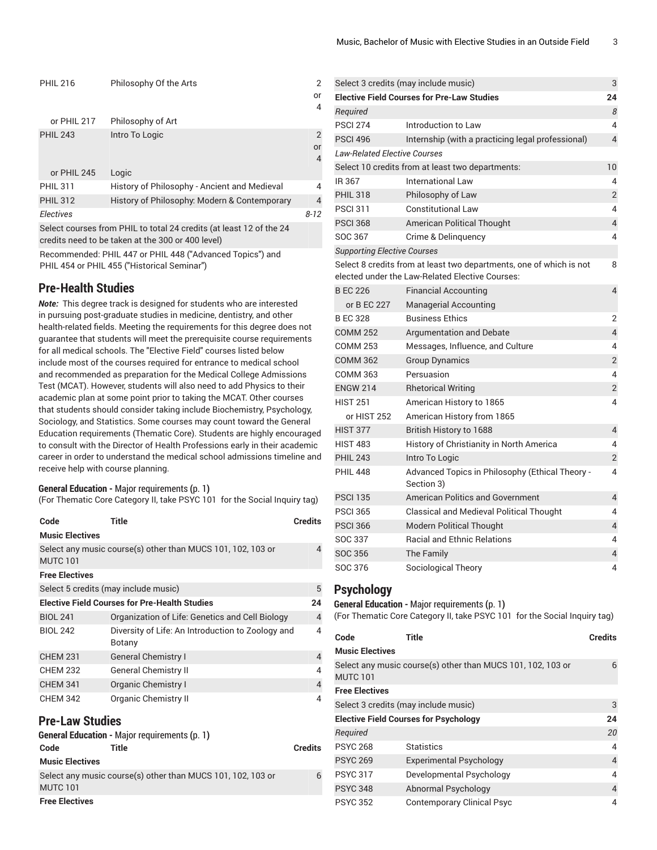| <b>PHIL 216</b> | Philosophy Of the Arts                                              | 2              |
|-----------------|---------------------------------------------------------------------|----------------|
|                 |                                                                     | or             |
|                 |                                                                     | 4              |
| or PHIL 217     | Philosophy of Art                                                   |                |
| <b>PHIL 243</b> | Intro To Logic                                                      | $\overline{2}$ |
|                 |                                                                     | or             |
|                 |                                                                     | 4              |
| or PHIL 245     | Logic                                                               |                |
| <b>PHIL 311</b> | History of Philosophy - Ancient and Medieval                        | 4              |
| <b>PHIL 312</b> | History of Philosophy: Modern & Contemporary                        | 4              |
| Electives       |                                                                     | $8 - 12$       |
|                 | Select courses from PHII to total 24 credits (at least 12 of the 24 |                |

Select courses from PHIL to total 24 credits (at least 12 of the 24 credits need to be taken at the 300 or 400 level)

Recommended: PHIL 447 or PHIL 448 ("Advanced Topics") and PHIL 454 or PHIL 455 ("Historical Seminar")

# **Pre-Health Studies**

*Note:* This degree track is designed for students who are interested in pursuing post-graduate studies in medicine, dentistry, and other health-related fields. Meeting the requirements for this degree does not guarantee that students will meet the prerequisite course requirements for all medical schools. The "Elective Field" courses listed below include most of the courses required for entrance to medical school and recommended as preparation for the Medical College Admissions Test (MCAT). However, students will also need to add Physics to their academic plan at some point prior to taking the MCAT. Other courses that students should consider taking include Biochemistry, Psychology, Sociology, and Statistics. Some courses may count toward the General Education requirements (Thematic Core). Students are highly encouraged to consult with the Director of Health Professions early in their academic career in order to understand the medical school admissions timeline and receive help with course planning.

#### **General Education -** Major [requirements](#page-0-0) **(**[p. 1](#page-0-0)**)**

(For Thematic Core Category II, take PSYC 101 for the Social Inquiry tag)

| Code                   | Title                                                       | <b>Credits</b> |
|------------------------|-------------------------------------------------------------|----------------|
| <b>Music Electives</b> |                                                             |                |
| <b>MUTC 101</b>        | Select any music course(s) other than MUCS 101, 102, 103 or | 4              |
| <b>Free Electives</b>  |                                                             |                |
|                        | Select 5 credits (may include music)                        | 5              |
|                        | Elective Field Courses for Pre-Health Studies               | 24             |
| <b>BIOL 241</b>        | Organization of Life: Genetics and Cell Biology             | 4              |
| <b>BIOL 242</b>        | Diversity of Life: An Introduction to Zoology and<br>Botany | 4              |
| <b>CHEM 231</b>        | <b>General Chemistry I</b>                                  | 4              |
| <b>CHEM 232</b>        | <b>General Chemistry II</b>                                 | 4              |
| <b>CHEM 341</b>        | <b>Organic Chemistry I</b>                                  | 4              |
| <b>CHEM 342</b>        | <b>Organic Chemistry II</b>                                 | 4              |

### **Pre-Law Studies**

|                        | <b>General Education - Major requirements (p. 1)</b>        |         |
|------------------------|-------------------------------------------------------------|---------|
| Code                   | Title                                                       | Credits |
| <b>Music Electives</b> |                                                             |         |
|                        | Select any music course(s) other than MUCS 101, 102, 103 or | 6       |
| <b>MUTC 101</b>        |                                                             |         |
| <b>Free Electives</b>  |                                                             |         |

|                                     | Select 3 credits (may include music)                                                                                   | 3                        |
|-------------------------------------|------------------------------------------------------------------------------------------------------------------------|--------------------------|
|                                     | <b>Elective Field Courses for Pre-Law Studies</b>                                                                      | 24                       |
| Required                            |                                                                                                                        | 8                        |
| <b>PSCI 274</b>                     | Introduction to Law                                                                                                    | 4                        |
| <b>PSCI 496</b>                     | Internship (with a practicing legal professional)                                                                      | $\overline{\mathcal{L}}$ |
| <b>Law-Related Elective Courses</b> |                                                                                                                        |                          |
|                                     | Select 10 credits from at least two departments:                                                                       | 10                       |
| IR 367                              | <b>International Law</b>                                                                                               | 4                        |
| <b>PHIL 318</b>                     | Philosophy of Law                                                                                                      | 2                        |
| <b>PSCI 311</b>                     | <b>Constitutional Law</b>                                                                                              | 4                        |
| <b>PSCI 368</b>                     | American Political Thought                                                                                             | $\overline{\mathcal{L}}$ |
| SOC 367                             | Crime & Delinquency                                                                                                    | 4                        |
| <b>Supporting Elective Courses</b>  |                                                                                                                        |                          |
|                                     | Select 8 credits from at least two departments, one of which is not<br>elected under the Law-Related Elective Courses: | 8                        |
| <b>BEC 226</b>                      | <b>Financial Accounting</b>                                                                                            | 4                        |
| or B EC 227                         | <b>Managerial Accounting</b>                                                                                           |                          |
| <b>B EC 328</b>                     | <b>Business Ethics</b>                                                                                                 | 2                        |
| <b>COMM 252</b>                     | Argumentation and Debate                                                                                               | $\overline{\mathcal{L}}$ |
| <b>COMM 253</b>                     | Messages, Influence, and Culture                                                                                       | 4                        |
| <b>COMM 362</b>                     | <b>Group Dynamics</b>                                                                                                  | $\overline{2}$           |
| <b>COMM 363</b>                     | Persuasion                                                                                                             | 4                        |
| <b>ENGW 214</b>                     | <b>Rhetorical Writing</b>                                                                                              | $\overline{2}$           |
| <b>HIST 251</b>                     | American History to 1865                                                                                               | 4                        |
| or HIST 252                         | American History from 1865                                                                                             |                          |
| <b>HIST 377</b>                     | British History to 1688                                                                                                | 4                        |
| <b>HIST 483</b>                     | History of Christianity in North America                                                                               | 4                        |
| <b>PHIL 243</b>                     | Intro To Logic                                                                                                         | $\overline{2}$           |
| <b>PHIL 448</b>                     | Advanced Topics in Philosophy (Ethical Theory -<br>Section 3)                                                          | 4                        |
| <b>PSCI 135</b>                     | American Politics and Government                                                                                       | 4                        |
| <b>PSCI 365</b>                     | Classical and Medieval Political Thought                                                                               | 4                        |
| <b>PSCI 366</b>                     | <b>Modern Political Thought</b>                                                                                        | $\overline{\mathcal{L}}$ |
| SOC 337                             | <b>Racial and Ethnic Relations</b>                                                                                     | 4                        |
| <b>SOC 356</b>                      | The Family                                                                                                             | $\overline{\mathcal{L}}$ |
| SOC 376                             | Sociological Theory                                                                                                    | 4                        |

### **Psychology**

# **General Education -** Major [requirements](#page-0-0) **(**[p. 1](#page-0-0)**)**

(For Thematic Core Category II, take [PSYC](/search/?P=PSYC%20101) 101 for the Social Inquiry tag)

| Code                   | Title                                                       | <b>Credits</b> |
|------------------------|-------------------------------------------------------------|----------------|
| <b>Music Electives</b> |                                                             |                |
| <b>MUTC 101</b>        | Select any music course(s) other than MUCS 101, 102, 103 or | 6              |
| <b>Free Electives</b>  |                                                             |                |
|                        | Select 3 credits (may include music)                        | 3              |
|                        | <b>Elective Field Courses for Psychology</b>                | 24             |
| Required               |                                                             | 20             |
| <b>PSYC 268</b>        | <b>Statistics</b>                                           | 4              |
| <b>PSYC 269</b>        | <b>Experimental Psychology</b>                              | $\overline{4}$ |
| <b>PSYC 317</b>        | Developmental Psychology                                    | 4              |
| <b>PSYC 348</b>        | Abnormal Psychology                                         | 4              |
| <b>PSYC 352</b>        | <b>Contemporary Clinical Psyc</b>                           | 4              |